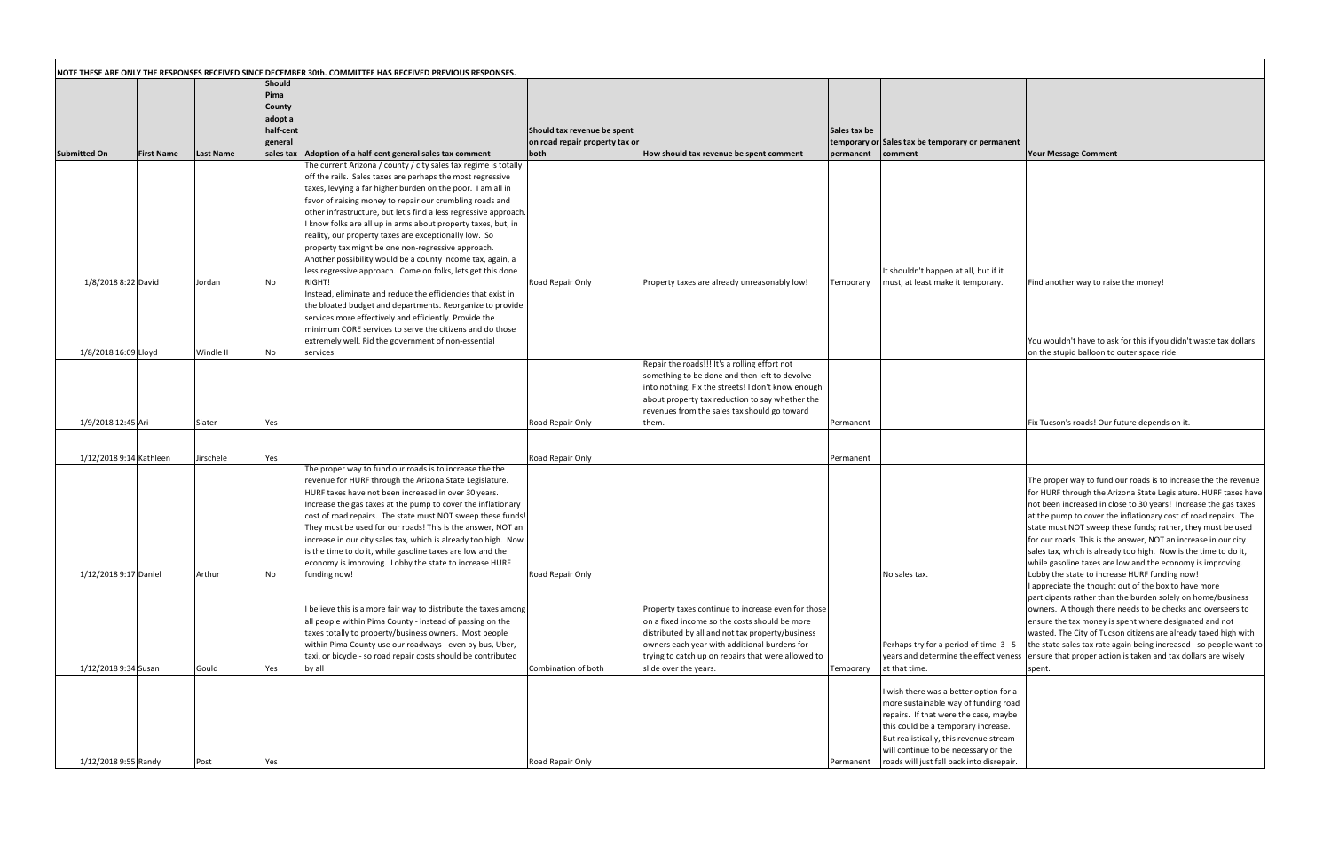| ax be |                                                                                 |                                                                                                                                     |
|-------|---------------------------------------------------------------------------------|-------------------------------------------------------------------------------------------------------------------------------------|
| nent  | rary or Sales tax be temporary or permanent<br>comment                          | <b>Your Message Comment</b>                                                                                                         |
|       |                                                                                 |                                                                                                                                     |
|       |                                                                                 |                                                                                                                                     |
|       |                                                                                 |                                                                                                                                     |
|       |                                                                                 |                                                                                                                                     |
|       |                                                                                 |                                                                                                                                     |
|       |                                                                                 |                                                                                                                                     |
|       |                                                                                 |                                                                                                                                     |
|       | It shouldn't happen at all, but if it                                           |                                                                                                                                     |
| rary  | must, at least make it temporary.                                               | Find another way to raise the money!                                                                                                |
|       |                                                                                 |                                                                                                                                     |
|       |                                                                                 |                                                                                                                                     |
|       |                                                                                 | You wouldn't have to ask for this if you didn't waste tax dollars                                                                   |
|       |                                                                                 | on the stupid balloon to outer space ride.                                                                                          |
|       |                                                                                 |                                                                                                                                     |
|       |                                                                                 |                                                                                                                                     |
|       |                                                                                 |                                                                                                                                     |
|       |                                                                                 | Fix Tucson's roads! Our future depends on it.                                                                                       |
| าent  |                                                                                 |                                                                                                                                     |
|       |                                                                                 |                                                                                                                                     |
| าent  |                                                                                 |                                                                                                                                     |
|       |                                                                                 | The proper way to fund our roads is to increase the the revenue                                                                     |
|       |                                                                                 | for HURF through the Arizona State Legislature. HURF taxes have                                                                     |
|       |                                                                                 | not been increased in close to 30 years! Increase the gas taxes<br>at the pump to cover the inflationary cost of road repairs. The  |
|       |                                                                                 | state must NOT sweep these funds; rather, they must be used                                                                         |
|       |                                                                                 | for our roads. This is the answer, NOT an increase in our city                                                                      |
|       |                                                                                 | sales tax, which is already too high. Now is the time to do it,<br>while gasoline taxes are low and the economy is improving.       |
|       | No sales tax.                                                                   | Lobby the state to increase HURF funding now!                                                                                       |
|       |                                                                                 | I appreciate the thought out of the box to have more<br>participants rather than the burden solely on home/business                 |
|       |                                                                                 | owners. Although there needs to be checks and overseers to                                                                          |
|       |                                                                                 | ensure the tax money is spent where designated and not                                                                              |
|       |                                                                                 | wasted. The City of Tucson citizens are already taxed high with                                                                     |
|       | Perhaps try for a period of time 3 - 5<br>years and determine the effectiveness | the state sales tax rate again being increased - so people want to<br>ensure that proper action is taken and tax dollars are wisely |
| rary  | at that time.                                                                   | spent.                                                                                                                              |
|       | I wish there was a better option for a                                          |                                                                                                                                     |
|       | more sustainable way of funding road                                            |                                                                                                                                     |
|       | repairs. If that were the case, maybe                                           |                                                                                                                                     |
|       | this could be a temporary increase.<br>But realistically, this revenue stream   |                                                                                                                                     |
|       | will continue to be necessary or the                                            |                                                                                                                                     |
| าent  | roads will just fall back into disrepair.                                       |                                                                                                                                     |

|                         |                   |                  |               | NOTE THESE ARE ONLY THE RESPONSES RECEIVED SINCE DECEMBER 30th. COMMITTEE HAS RECEIVED PREVIOUS RESPONSES.                   |                                |                                                    |              |                                                  |                                                   |
|-------------------------|-------------------|------------------|---------------|------------------------------------------------------------------------------------------------------------------------------|--------------------------------|----------------------------------------------------|--------------|--------------------------------------------------|---------------------------------------------------|
|                         |                   |                  | Should        |                                                                                                                              |                                |                                                    |              |                                                  |                                                   |
|                         |                   |                  | Pima          |                                                                                                                              |                                |                                                    |              |                                                  |                                                   |
|                         |                   |                  | <b>County</b> |                                                                                                                              |                                |                                                    |              |                                                  |                                                   |
|                         |                   |                  | adopt a       |                                                                                                                              |                                |                                                    |              |                                                  |                                                   |
|                         |                   |                  | half-cent     |                                                                                                                              | Should tax revenue be spent    |                                                    | Sales tax be |                                                  |                                                   |
|                         |                   |                  | general       |                                                                                                                              | on road repair property tax or |                                                    |              | temporary or Sales tax be temporary or permanent |                                                   |
| <b>Submitted On</b>     | <b>First Name</b> | <b>Last Name</b> | sales tax     | Adoption of a half-cent general sales tax comment                                                                            | both                           | How should tax revenue be spent comment            | permanent    | comment                                          | <b>Your Message Comment</b>                       |
|                         |                   |                  |               | The current Arizona / county / city sales tax regime is totally                                                              |                                |                                                    |              |                                                  |                                                   |
|                         |                   |                  |               | off the rails. Sales taxes are perhaps the most regressive                                                                   |                                |                                                    |              |                                                  |                                                   |
|                         |                   |                  |               | taxes, levying a far higher burden on the poor. I am all in                                                                  |                                |                                                    |              |                                                  |                                                   |
|                         |                   |                  |               | favor of raising money to repair our crumbling roads and                                                                     |                                |                                                    |              |                                                  |                                                   |
|                         |                   |                  |               | other infrastructure, but let's find a less regressive approach.                                                             |                                |                                                    |              |                                                  |                                                   |
|                         |                   |                  |               | I know folks are all up in arms about property taxes, but, in                                                                |                                |                                                    |              |                                                  |                                                   |
|                         |                   |                  |               | reality, our property taxes are exceptionally low. So                                                                        |                                |                                                    |              |                                                  |                                                   |
|                         |                   |                  |               | property tax might be one non-regressive approach.                                                                           |                                |                                                    |              |                                                  |                                                   |
|                         |                   |                  |               | Another possibility would be a county income tax, again, a                                                                   |                                |                                                    |              |                                                  |                                                   |
|                         |                   |                  |               | less regressive approach. Come on folks, lets get this done                                                                  |                                |                                                    |              | It shouldn't happen at all, but if it            |                                                   |
| 1/8/2018 8:22 David     |                   | Jordan           | No.           | RIGHT!                                                                                                                       | Road Repair Only               | Property taxes are already unreasonably low!       | Temporary    | must, at least make it temporary.                | Find another way to raise the money!              |
|                         |                   |                  |               | Instead, eliminate and reduce the efficiencies that exist in                                                                 |                                |                                                    |              |                                                  |                                                   |
|                         |                   |                  |               | the bloated budget and departments. Reorganize to provide                                                                    |                                |                                                    |              |                                                  |                                                   |
|                         |                   |                  |               | services more effectively and efficiently. Provide the                                                                       |                                |                                                    |              |                                                  |                                                   |
|                         |                   |                  |               | minimum CORE services to serve the citizens and do those                                                                     |                                |                                                    |              |                                                  |                                                   |
|                         |                   |                  |               | extremely well. Rid the government of non-essential                                                                          |                                |                                                    |              |                                                  | You wouldn't have to ask for this if you didn't v |
| 1/8/2018 16:09 Lloyd    |                   | Windle II        | No            | services.                                                                                                                    |                                |                                                    |              |                                                  | on the stupid balloon to outer space ride.        |
|                         |                   |                  |               |                                                                                                                              |                                | Repair the roads!!! It's a rolling effort not      |              |                                                  |                                                   |
|                         |                   |                  |               |                                                                                                                              |                                | something to be done and then left to devolve      |              |                                                  |                                                   |
|                         |                   |                  |               |                                                                                                                              |                                | into nothing. Fix the streets! I don't know enough |              |                                                  |                                                   |
|                         |                   |                  |               |                                                                                                                              |                                | about property tax reduction to say whether the    |              |                                                  |                                                   |
|                         |                   |                  |               |                                                                                                                              |                                | revenues from the sales tax should go toward       |              |                                                  |                                                   |
| 1/9/2018 12:45 Ari      |                   | Slater           | Yes           |                                                                                                                              | Road Repair Only               | them.                                              | Permanent    |                                                  | Fix Tucson's roads! Our future depends on it.     |
|                         |                   |                  |               |                                                                                                                              |                                |                                                    |              |                                                  |                                                   |
| 1/12/2018 9:14 Kathleen |                   | Jirschele        | Yes           |                                                                                                                              | Road Repair Only               |                                                    |              |                                                  |                                                   |
|                         |                   |                  |               | The proper way to fund our roads is to increase the the                                                                      |                                |                                                    | Permanent    |                                                  |                                                   |
|                         |                   |                  |               | revenue for HURF through the Arizona State Legislature.                                                                      |                                |                                                    |              |                                                  | The proper way to fund our roads is to increas    |
|                         |                   |                  |               | HURF taxes have not been increased in over 30 years.                                                                         |                                |                                                    |              |                                                  | for HURF through the Arizona State Legislature    |
|                         |                   |                  |               | Increase the gas taxes at the pump to cover the inflationary                                                                 |                                |                                                    |              |                                                  | not been increased in close to 30 years! Increa   |
|                         |                   |                  |               | cost of road repairs. The state must NOT sweep these funds!                                                                  |                                |                                                    |              |                                                  | at the pump to cover the inflationary cost of ro  |
|                         |                   |                  |               | They must be used for our roads! This is the answer, NOT an                                                                  |                                |                                                    |              |                                                  | state must NOT sweep these funds; rather, the     |
|                         |                   |                  |               |                                                                                                                              |                                |                                                    |              |                                                  | for our roads. This is the answer, NOT an increa  |
|                         |                   |                  |               | increase in our city sales tax, which is already too high. Now<br>is the time to do it, while gasoline taxes are low and the |                                |                                                    |              |                                                  | sales tax, which is already too high. Now is the  |
|                         |                   |                  |               | economy is improving. Lobby the state to increase HURF                                                                       |                                |                                                    |              |                                                  | while gasoline taxes are low and the economy      |
| 1/12/2018 9:17 Daniel   |                   | Arthur           |               |                                                                                                                              | Road Repair Only               |                                                    |              | No sales tax.                                    | Lobby the state to increase HURF funding now      |
|                         |                   |                  | No            | funding now!                                                                                                                 |                                |                                                    |              |                                                  | I appreciate the thought out of the box to have   |
|                         |                   |                  |               |                                                                                                                              |                                |                                                    |              |                                                  | participants rather than the burden solely on h   |
|                         |                   |                  |               | I believe this is a more fair way to distribute the taxes among                                                              |                                | Property taxes continue to increase even for those |              |                                                  | owners. Although there needs to be checks an      |
|                         |                   |                  |               | all people within Pima County - instead of passing on the                                                                    |                                | on a fixed income so the costs should be more      |              |                                                  | ensure the tax money is spent where designate     |
|                         |                   |                  |               | taxes totally to property/business owners. Most people                                                                       |                                | distributed by all and not tax property/business   |              |                                                  | wasted. The City of Tucson citizens are already   |
|                         |                   |                  |               | within Pima County use our roadways - even by bus, Uber,                                                                     |                                | owners each year with additional burdens for       |              | Perhaps try for a period of time 3 - 5           | the state sales tax rate again being increased -  |
|                         |                   |                  |               | taxi, or bicycle - so road repair costs should be contributed                                                                |                                | trying to catch up on repairs that were allowed to |              | years and determine the effectiveness            | ensure that proper action is taken and tax dolla  |
| 1/12/2018 9:34 Susan    |                   | Gould            | Yes           | by all                                                                                                                       | Combination of both            | slide over the years.                              | Temporary    | at that time.                                    | spent.                                            |
|                         |                   |                  |               |                                                                                                                              |                                |                                                    |              |                                                  |                                                   |
|                         |                   |                  |               |                                                                                                                              |                                |                                                    |              | I wish there was a better option for a           |                                                   |
|                         |                   |                  |               |                                                                                                                              |                                |                                                    |              | more sustainable way of funding road             |                                                   |
|                         |                   |                  |               |                                                                                                                              |                                |                                                    |              | repairs. If that were the case, maybe            |                                                   |
|                         |                   |                  |               |                                                                                                                              |                                |                                                    |              | this could be a temporary increase.              |                                                   |
|                         |                   |                  |               |                                                                                                                              |                                |                                                    |              | But realistically, this revenue stream           |                                                   |
|                         |                   |                  |               |                                                                                                                              |                                |                                                    |              | will continue to be necessary or the             |                                                   |
| 1/12/2018 9:55 Randy    |                   | Post             | Yes           |                                                                                                                              | Road Repair Only               |                                                    | Permanent    | roads will just fall back into disrepair.        |                                                   |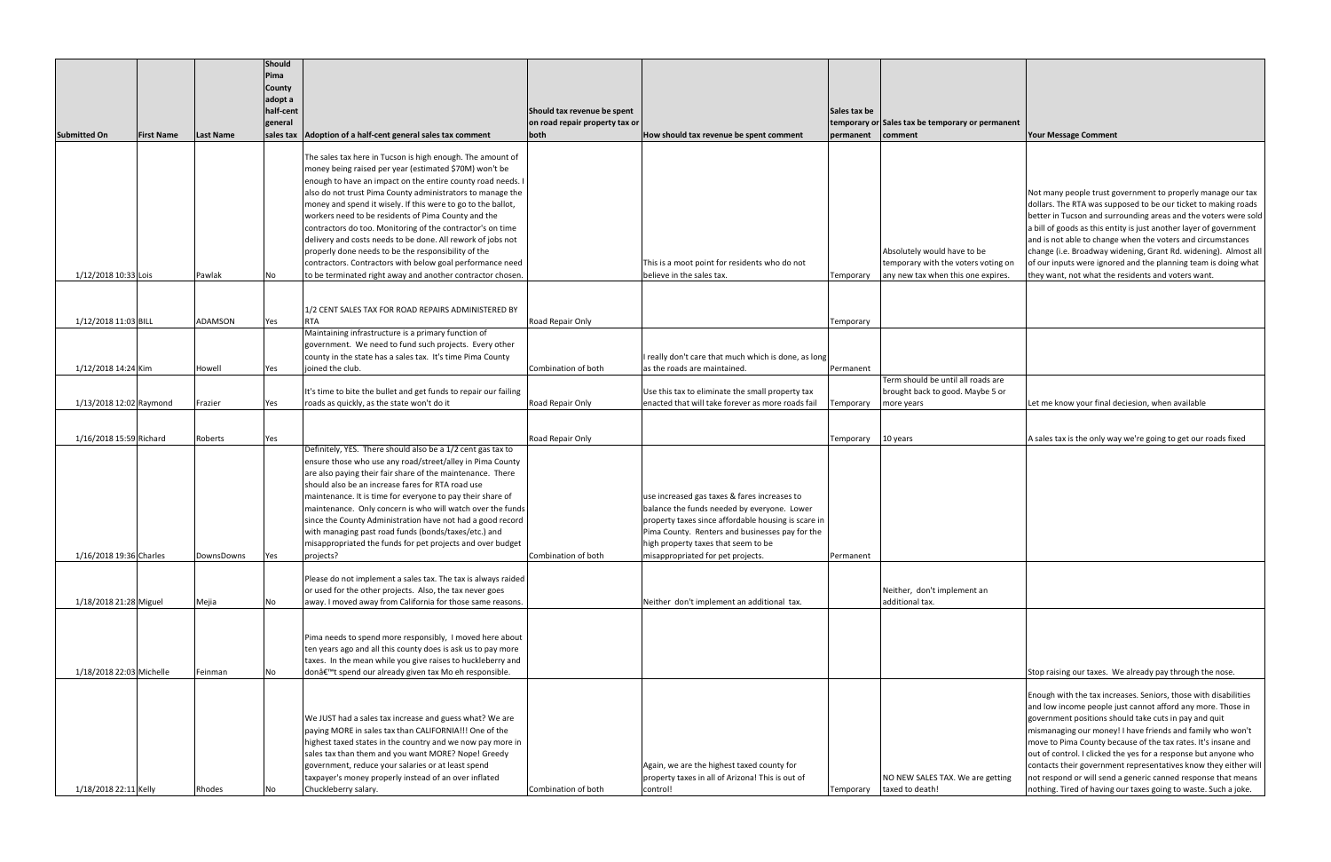| <b>Submitted On</b>                         | <b>First Name</b> | <b>Last Name</b>         | Should<br>Pima<br>County<br>adopt a<br>half-cent<br>general<br>sales tax | Adoption of a half-cent general sales tax comment                                                                                                                                                                                                                                                                                                                                                                                                                                                                                                                                                                                                                                       | Should tax revenue be spent<br>on road repair property tax or<br>both | How should tax revenue be spent comment                                                                                                                                                                                                                                           | Sales tax be<br>permanent | temporary or Sales tax be temporary or permanent<br>comment                                              | <b>Your Message</b>                                                                                                                                        |
|---------------------------------------------|-------------------|--------------------------|--------------------------------------------------------------------------|-----------------------------------------------------------------------------------------------------------------------------------------------------------------------------------------------------------------------------------------------------------------------------------------------------------------------------------------------------------------------------------------------------------------------------------------------------------------------------------------------------------------------------------------------------------------------------------------------------------------------------------------------------------------------------------------|-----------------------------------------------------------------------|-----------------------------------------------------------------------------------------------------------------------------------------------------------------------------------------------------------------------------------------------------------------------------------|---------------------------|----------------------------------------------------------------------------------------------------------|------------------------------------------------------------------------------------------------------------------------------------------------------------|
| 1/12/2018 10:33 Lois                        |                   | Pawlak                   | No                                                                       | The sales tax here in Tucson is high enough. The amount of<br>money being raised per year (estimated \$70M) won't be<br>enough to have an impact on the entire county road needs. I<br>also do not trust Pima County administrators to manage the<br>money and spend it wisely. If this were to go to the ballot,<br>workers need to be residents of Pima County and the<br>contractors do too. Monitoring of the contractor's on time<br>delivery and costs needs to be done. All rework of jobs not<br>properly done needs to be the responsibility of the<br>contractors. Contractors with below goal performance need<br>to be terminated right away and another contractor chosen. |                                                                       | This is a moot point for residents who do not<br>believe in the sales tax.                                                                                                                                                                                                        | Temporary                 | Absolutely would have to be<br>temporary with the voters voting on<br>any new tax when this one expires. | Not many peop<br>dollars. The RT<br>better in Tucso<br>a bill of goods<br>and is not able<br>change (i.e. Bro<br>of our inputs w<br>they want, not         |
|                                             |                   |                          |                                                                          | 1/2 CENT SALES TAX FOR ROAD REPAIRS ADMINISTERED BY                                                                                                                                                                                                                                                                                                                                                                                                                                                                                                                                                                                                                                     |                                                                       |                                                                                                                                                                                                                                                                                   |                           |                                                                                                          |                                                                                                                                                            |
| 1/12/2018 11:03 BILL<br>1/12/2018 14:24 Kim |                   | <b>ADAMSON</b><br>Howell | Yes<br>Yes                                                               | <b>RTA</b><br>Maintaining infrastructure is a primary function of<br>government. We need to fund such projects. Every other<br>county in the state has a sales tax. It's time Pima County<br>joined the club.                                                                                                                                                                                                                                                                                                                                                                                                                                                                           | Road Repair Only<br>Combination of both                               | I really don't care that much which is done, as long<br>as the roads are maintained.                                                                                                                                                                                              | Temporary<br>Permanent    |                                                                                                          |                                                                                                                                                            |
|                                             |                   |                          |                                                                          |                                                                                                                                                                                                                                                                                                                                                                                                                                                                                                                                                                                                                                                                                         |                                                                       |                                                                                                                                                                                                                                                                                   |                           | Term should be until all roads are                                                                       |                                                                                                                                                            |
| 1/13/2018 12:02 Raymond                     |                   | Frazier                  | Yes                                                                      | It's time to bite the bullet and get funds to repair our failing<br>roads as quickly, as the state won't do it                                                                                                                                                                                                                                                                                                                                                                                                                                                                                                                                                                          | Road Repair Only                                                      | Use this tax to eliminate the small property tax<br>enacted that will take forever as more roads fail                                                                                                                                                                             | Temporary                 | brought back to good. Maybe 5 or<br>more years                                                           | Let me know y                                                                                                                                              |
|                                             |                   |                          |                                                                          |                                                                                                                                                                                                                                                                                                                                                                                                                                                                                                                                                                                                                                                                                         |                                                                       |                                                                                                                                                                                                                                                                                   |                           |                                                                                                          |                                                                                                                                                            |
| 1/16/2018 15:59 Richard                     |                   | Roberts                  | Yes                                                                      |                                                                                                                                                                                                                                                                                                                                                                                                                                                                                                                                                                                                                                                                                         | Road Repair Only                                                      |                                                                                                                                                                                                                                                                                   | Temporary                 | 10 years                                                                                                 | A sales tax is th                                                                                                                                          |
| 1/16/2018 19:36 Charles                     |                   | DownsDowns               | Yes                                                                      | Definitely, YES. There should also be a 1/2 cent gas tax to<br>ensure those who use any road/street/alley in Pima County<br>are also paying their fair share of the maintenance. There<br>should also be an increase fares for RTA road use<br>maintenance. It is time for everyone to pay their share of<br>maintenance. Only concern is who will watch over the funds<br>since the County Administration have not had a good record<br>with managing past road funds (bonds/taxes/etc.) and<br>misappropriated the funds for pet projects and over budget<br>projects?                                                                                                                | Combination of both                                                   | use increased gas taxes & fares increases to<br>balance the funds needed by everyone. Lower<br>property taxes since affordable housing is scare in<br>Pima County. Renters and businesses pay for the<br>high property taxes that seem to be<br>misappropriated for pet projects. | Permanent                 |                                                                                                          |                                                                                                                                                            |
|                                             |                   |                          |                                                                          | Please do not implement a sales tax. The tax is always raided<br>or used for the other projects. Also, the tax never goes                                                                                                                                                                                                                                                                                                                                                                                                                                                                                                                                                               |                                                                       |                                                                                                                                                                                                                                                                                   |                           | Neither, don't implement an                                                                              |                                                                                                                                                            |
| 1/18/2018 21:28 Miguel                      |                   | Mejia                    | No                                                                       | away. I moved away from California for those same reasons.                                                                                                                                                                                                                                                                                                                                                                                                                                                                                                                                                                                                                              |                                                                       | Neither don't implement an additional tax.                                                                                                                                                                                                                                        |                           | additional tax.                                                                                          |                                                                                                                                                            |
| 1/18/2018 22:03 Michelle                    |                   | Feinman                  | No                                                                       | Pima needs to spend more responsibly, I moved here about<br>ten years ago and all this county does is ask us to pay more<br>taxes. In the mean while you give raises to huckleberry and<br>don't spend our already given tax Mo eh responsible.                                                                                                                                                                                                                                                                                                                                                                                                                                         |                                                                       |                                                                                                                                                                                                                                                                                   |                           |                                                                                                          | Stop raising ou                                                                                                                                            |
| 1/18/2018 22:11 Kelly                       |                   | Rhodes                   | No                                                                       | We JUST had a sales tax increase and guess what? We are<br>paying MORE in sales tax than CALIFORNIA!!! One of the<br>highest taxed states in the country and we now pay more in<br>sales tax than them and you want MORE? Nope! Greedy<br>government, reduce your salaries or at least spend<br>taxpayer's money properly instead of an over inflated<br>Chuckleberry salary.                                                                                                                                                                                                                                                                                                           | Combination of both                                                   | Again, we are the highest taxed county for<br>property taxes in all of Arizona! This is out of<br>control!                                                                                                                                                                        | Temporary                 | NO NEW SALES TAX. We are getting<br>taxed to death!                                                      | Enough with th<br>and low incom<br>government po<br>mismanaging c<br>move to Pima<br>out of control.<br>contacts their<br>not respond or<br>nothing. Tired |

| Sales tax be temporary or permanent<br>comment                                                           | <b>Your Message Comment</b>                                                                                                                                                                                                                                                                                                                                                                                                                                                                                                                                                                      |
|----------------------------------------------------------------------------------------------------------|--------------------------------------------------------------------------------------------------------------------------------------------------------------------------------------------------------------------------------------------------------------------------------------------------------------------------------------------------------------------------------------------------------------------------------------------------------------------------------------------------------------------------------------------------------------------------------------------------|
|                                                                                                          |                                                                                                                                                                                                                                                                                                                                                                                                                                                                                                                                                                                                  |
|                                                                                                          |                                                                                                                                                                                                                                                                                                                                                                                                                                                                                                                                                                                                  |
| Absolutely would have to be<br>temporary with the voters voting on<br>any new tax when this one expires. | Not many people trust government to properly manage our tax<br>dollars. The RTA was supposed to be our ticket to making roads<br>better in Tucson and surrounding areas and the voters were sold<br>a bill of goods as this entity is just another layer of government<br>and is not able to change when the voters and circumstances<br>change (i.e. Broadway widening, Grant Rd. widening). Almost all<br>of our inputs were ignored and the planning team is doing what<br>they want, not what the residents and voters want.                                                                 |
|                                                                                                          |                                                                                                                                                                                                                                                                                                                                                                                                                                                                                                                                                                                                  |
|                                                                                                          |                                                                                                                                                                                                                                                                                                                                                                                                                                                                                                                                                                                                  |
| Term should be until all roads are<br>brought back to good. Maybe 5 or<br>more years                     | Let me know your final deciesion, when available                                                                                                                                                                                                                                                                                                                                                                                                                                                                                                                                                 |
|                                                                                                          |                                                                                                                                                                                                                                                                                                                                                                                                                                                                                                                                                                                                  |
| 10 years                                                                                                 | A sales tax is the only way we're going to get our roads fixed                                                                                                                                                                                                                                                                                                                                                                                                                                                                                                                                   |
|                                                                                                          |                                                                                                                                                                                                                                                                                                                                                                                                                                                                                                                                                                                                  |
| Neither, don't implement an<br>additional tax.                                                           |                                                                                                                                                                                                                                                                                                                                                                                                                                                                                                                                                                                                  |
|                                                                                                          | Stop raising our taxes. We already pay through the nose.                                                                                                                                                                                                                                                                                                                                                                                                                                                                                                                                         |
| NO NEW SALES TAX. We are getting<br>taxed to death!                                                      | Enough with the tax increases. Seniors, those with disabilities<br>and low income people just cannot afford any more. Those in<br>government positions should take cuts in pay and quit<br>mismanaging our money! I have friends and family who won't<br>move to Pima County because of the tax rates. It's insane and<br>out of control. I clicked the yes for a response but anyone who<br>contacts their government representatives know they either will<br>not respond or will send a generic canned response that means<br>nothing. Tired of having our taxes going to waste. Such a joke. |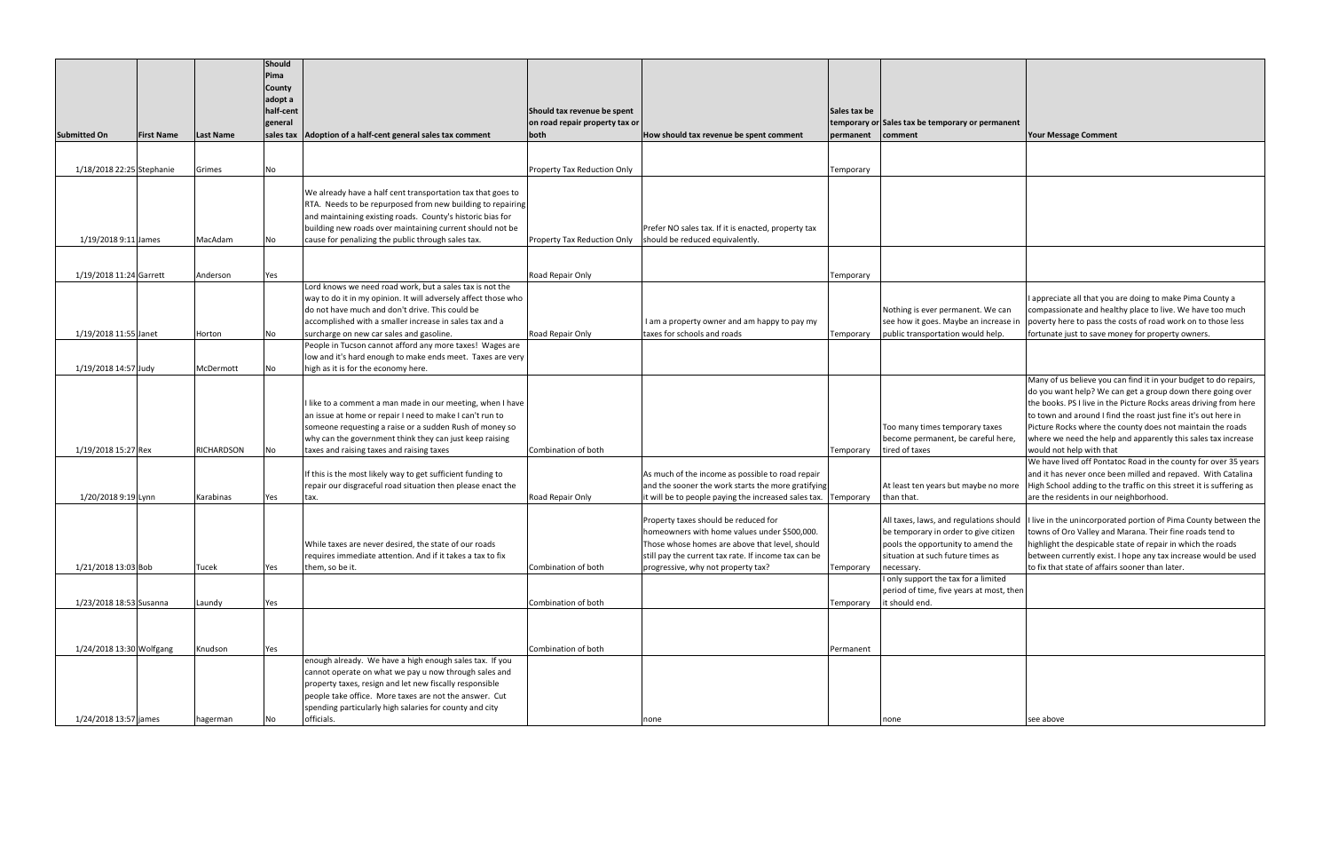| Sales tax be temporary or permanent<br>comment                                                                                                                            | <b>Your Message Comment</b>                                                                                                                                                                                                                                                                                                                                                                                                                                                                         |
|---------------------------------------------------------------------------------------------------------------------------------------------------------------------------|-----------------------------------------------------------------------------------------------------------------------------------------------------------------------------------------------------------------------------------------------------------------------------------------------------------------------------------------------------------------------------------------------------------------------------------------------------------------------------------------------------|
|                                                                                                                                                                           |                                                                                                                                                                                                                                                                                                                                                                                                                                                                                                     |
|                                                                                                                                                                           |                                                                                                                                                                                                                                                                                                                                                                                                                                                                                                     |
|                                                                                                                                                                           |                                                                                                                                                                                                                                                                                                                                                                                                                                                                                                     |
| Nothing is ever permanent. We can<br>see how it goes. Maybe an increase in<br>public transportation would help.                                                           | I appreciate all that you are doing to make Pima County a<br>compassionate and healthy place to live. We have too much<br>poverty here to pass the costs of road work on to those less<br>fortunate just to save money for property owners.                                                                                                                                                                                                                                                         |
|                                                                                                                                                                           |                                                                                                                                                                                                                                                                                                                                                                                                                                                                                                     |
| Too many times temporary taxes<br>become permanent, be careful here,<br>tired of taxes                                                                                    | Many of us believe you can find it in your budget to do repairs,<br>do you want help? We can get a group down there going over<br>the books. PS I live in the Picture Rocks areas driving from here<br>to town and around I find the roast just fine it's out here in<br>Picture Rocks where the county does not maintain the roads<br>where we need the help and apparently this sales tax increase<br>would not help with that<br>We have lived off Pontatoc Road in the county for over 35 years |
| At least ten years but maybe no more<br>than that.                                                                                                                        | and it has never once been milled and repaved. With Catalina<br>High School adding to the traffic on this street it is suffering as<br>are the residents in our neighborhood.                                                                                                                                                                                                                                                                                                                       |
| All taxes, laws, and regulations should<br>be temporary in order to give citizen<br>pools the opportunity to amend the<br>situation at such future times as<br>necessary. | I live in the unincorporated portion of Pima County between the<br>towns of Oro Valley and Marana. Their fine roads tend to<br>highlight the despicable state of repair in which the roads<br>between currently exist. I hope any tax increase would be used<br>to fix that state of affairs sooner than later.                                                                                                                                                                                     |
| I only support the tax for a limited<br>period of time, five years at most, then<br>it should end.                                                                        |                                                                                                                                                                                                                                                                                                                                                                                                                                                                                                     |
|                                                                                                                                                                           |                                                                                                                                                                                                                                                                                                                                                                                                                                                                                                     |
|                                                                                                                                                                           |                                                                                                                                                                                                                                                                                                                                                                                                                                                                                                     |
| none                                                                                                                                                                      | see above                                                                                                                                                                                                                                                                                                                                                                                                                                                                                           |

|                           |                   |                  | <b>Should</b><br>Pima<br>County<br>adopt a<br>half-cent<br>general |                                                                                                                   | Should tax revenue be spent<br>on road repair property tax or |                                                                                                                      | <b>Sales tax be</b> | temporary or Sales tax be temporary or permanent     |                         |
|---------------------------|-------------------|------------------|--------------------------------------------------------------------|-------------------------------------------------------------------------------------------------------------------|---------------------------------------------------------------|----------------------------------------------------------------------------------------------------------------------|---------------------|------------------------------------------------------|-------------------------|
| <b>Submitted On</b>       | <b>First Name</b> | <b>Last Name</b> | sales tax                                                          | Adoption of a half-cent general sales tax comment                                                                 | both                                                          | How should tax revenue be spent comment                                                                              | permanent           | comment                                              | <b>Your Mes</b>         |
|                           |                   |                  |                                                                    |                                                                                                                   |                                                               |                                                                                                                      |                     |                                                      |                         |
|                           |                   |                  |                                                                    |                                                                                                                   |                                                               |                                                                                                                      |                     |                                                      |                         |
| 1/18/2018 22:25 Stephanie |                   | Grimes           | No                                                                 |                                                                                                                   | Property Tax Reduction Only                                   |                                                                                                                      | Temporary           |                                                      |                         |
|                           |                   |                  |                                                                    | We already have a half cent transportation tax that goes to                                                       |                                                               |                                                                                                                      |                     |                                                      |                         |
|                           |                   |                  |                                                                    | RTA. Needs to be repurposed from new building to repairing                                                        |                                                               |                                                                                                                      |                     |                                                      |                         |
|                           |                   |                  |                                                                    | and maintaining existing roads. County's historic bias for                                                        |                                                               |                                                                                                                      |                     |                                                      |                         |
|                           |                   |                  |                                                                    | building new roads over maintaining current should not be                                                         |                                                               | Prefer NO sales tax. If it is enacted, property tax                                                                  |                     |                                                      |                         |
| 1/19/2018 9:11 James      |                   | MacAdam          | No                                                                 | cause for penalizing the public through sales tax.                                                                | <b>Property Tax Reduction Only</b>                            | should be reduced equivalently.                                                                                      |                     |                                                      |                         |
|                           |                   |                  |                                                                    |                                                                                                                   |                                                               |                                                                                                                      |                     |                                                      |                         |
| 1/19/2018 11:24 Garrett   |                   | Anderson         | Yes                                                                |                                                                                                                   | Road Repair Only                                              |                                                                                                                      | Temporary           |                                                      |                         |
|                           |                   |                  |                                                                    | Lord knows we need road work, but a sales tax is not the                                                          |                                                               |                                                                                                                      |                     |                                                      |                         |
|                           |                   |                  |                                                                    | way to do it in my opinion. It will adversely affect those who                                                    |                                                               |                                                                                                                      |                     |                                                      | l apprecia              |
|                           |                   |                  |                                                                    | do not have much and don't drive. This could be                                                                   |                                                               |                                                                                                                      |                     | Nothing is ever permanent. We can                    | compassi                |
|                           |                   |                  |                                                                    | accomplished with a smaller increase in sales tax and a                                                           |                                                               | I am a property owner and am happy to pay my                                                                         |                     | see how it goes. Maybe an increase i                 | poverty h               |
| 1/19/2018 11:55 Janet     |                   | Horton           | No                                                                 | surcharge on new car sales and gasoline.                                                                          | Road Repair Only                                              | taxes for schools and roads                                                                                          | Temporary           | public transportation would help.                    | fortunate               |
|                           |                   |                  |                                                                    | People in Tucson cannot afford any more taxes! Wages are                                                          |                                                               |                                                                                                                      |                     |                                                      |                         |
|                           |                   |                  |                                                                    | low and it's hard enough to make ends meet. Taxes are very                                                        |                                                               |                                                                                                                      |                     |                                                      |                         |
| 1/19/2018 14:57 Judy      |                   | McDermott        | No                                                                 | high as it is for the economy here.                                                                               |                                                               |                                                                                                                      |                     |                                                      | Many of u               |
|                           |                   |                  |                                                                    |                                                                                                                   |                                                               |                                                                                                                      |                     |                                                      | do you wa               |
|                           |                   |                  |                                                                    | I like to a comment a man made in our meeting, when I have                                                        |                                                               |                                                                                                                      |                     |                                                      | the books               |
|                           |                   |                  |                                                                    | an issue at home or repair I need to make I can't run to                                                          |                                                               |                                                                                                                      |                     |                                                      | to town a               |
|                           |                   |                  |                                                                    | someone requesting a raise or a sudden Rush of money so                                                           |                                                               |                                                                                                                      |                     | Too many times temporary taxes                       | Picture Ro              |
|                           |                   |                  |                                                                    | why can the government think they can just keep raising                                                           |                                                               |                                                                                                                      |                     | become permanent, be careful here,                   | where we                |
| 1/19/2018 15:27 Rex       |                   | RICHARDSON       | No                                                                 | taxes and raising taxes and raising taxes                                                                         | Combination of both                                           |                                                                                                                      | Temporary           | tired of taxes                                       | would no                |
|                           |                   |                  |                                                                    |                                                                                                                   |                                                               |                                                                                                                      |                     |                                                      | We have                 |
|                           |                   |                  |                                                                    | If this is the most likely way to get sufficient funding to                                                       |                                                               | As much of the income as possible to road repair                                                                     |                     |                                                      | and it has              |
| 1/20/2018 9:19 Lynn       |                   | Karabinas        | Yes                                                                | repair our disgraceful road situation then please enact the<br>tax.                                               | Road Repair Only                                              | and the sooner the work starts the more gratifying<br>it will be to people paying the increased sales tax. Temporary |                     | At least ten years but maybe no more<br>than that.   | High Scho<br>are the re |
|                           |                   |                  |                                                                    |                                                                                                                   |                                                               |                                                                                                                      |                     |                                                      |                         |
|                           |                   |                  |                                                                    |                                                                                                                   |                                                               | Property taxes should be reduced for                                                                                 |                     | All taxes, laws, and regulations should I live in th |                         |
|                           |                   |                  |                                                                    |                                                                                                                   |                                                               | homeowners with home values under \$500,000.                                                                         |                     | be temporary in order to give citizen                | towns of                |
|                           |                   |                  |                                                                    | While taxes are never desired, the state of our roads                                                             |                                                               | Those whose homes are above that level, should                                                                       |                     | pools the opportunity to amend the                   | highlight :             |
|                           |                   |                  |                                                                    | requires immediate attention. And if it takes a tax to fix                                                        |                                                               | still pay the current tax rate. If income tax can be                                                                 |                     | situation at such future times as                    | between                 |
| 1/21/2018 13:03 Bob       |                   | Tucek            | Yes                                                                | them, so be it.                                                                                                   | Combination of both                                           | progressive, why not property tax?                                                                                   | Temporary           | necessary.                                           | to fix that             |
|                           |                   |                  |                                                                    |                                                                                                                   |                                                               |                                                                                                                      |                     | I only support the tax for a limited                 |                         |
|                           |                   |                  |                                                                    |                                                                                                                   |                                                               |                                                                                                                      |                     | period of time, five years at most, then             |                         |
| 1/23/2018 18:53 Susanna   |                   | Laundy           | Yes                                                                |                                                                                                                   | Combination of both                                           |                                                                                                                      | Temporary           | it should end.                                       |                         |
|                           |                   |                  |                                                                    |                                                                                                                   |                                                               |                                                                                                                      |                     |                                                      |                         |
|                           |                   |                  |                                                                    |                                                                                                                   |                                                               |                                                                                                                      |                     |                                                      |                         |
| 1/24/2018 13:30 Wolfgang  |                   | Knudson          | Yes                                                                |                                                                                                                   | Combination of both                                           |                                                                                                                      | Permanent           |                                                      |                         |
|                           |                   |                  |                                                                    | enough already. We have a high enough sales tax. If you                                                           |                                                               |                                                                                                                      |                     |                                                      |                         |
|                           |                   |                  |                                                                    | cannot operate on what we pay u now through sales and                                                             |                                                               |                                                                                                                      |                     |                                                      |                         |
|                           |                   |                  |                                                                    | property taxes, resign and let new fiscally responsible                                                           |                                                               |                                                                                                                      |                     |                                                      |                         |
|                           |                   |                  |                                                                    | people take office. More taxes are not the answer. Cut<br>spending particularly high salaries for county and city |                                                               |                                                                                                                      |                     |                                                      |                         |
| 1/24/2018 13:57 james     |                   | hagerman         | No                                                                 | officials.                                                                                                        |                                                               | none                                                                                                                 |                     | none                                                 | see above               |
|                           |                   |                  |                                                                    |                                                                                                                   |                                                               |                                                                                                                      |                     |                                                      |                         |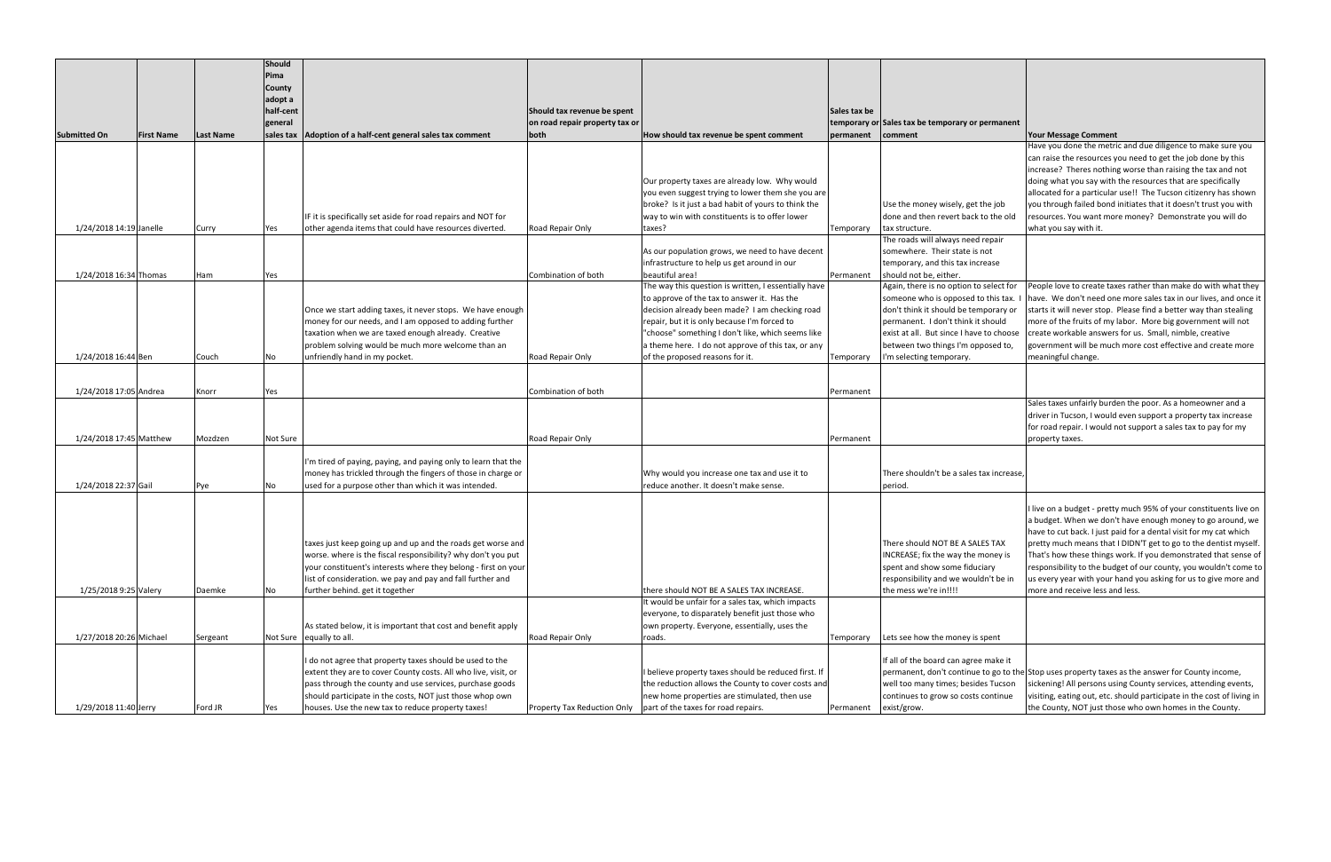|                         |                   |                  | <b>Should</b> |                                                                |                                |                                                                                                          |              |                                                  |                                                                                                                                |
|-------------------------|-------------------|------------------|---------------|----------------------------------------------------------------|--------------------------------|----------------------------------------------------------------------------------------------------------|--------------|--------------------------------------------------|--------------------------------------------------------------------------------------------------------------------------------|
|                         |                   |                  | Pima          |                                                                |                                |                                                                                                          |              |                                                  |                                                                                                                                |
|                         |                   |                  | <b>County</b> |                                                                |                                |                                                                                                          |              |                                                  |                                                                                                                                |
|                         |                   |                  | adopt a       |                                                                |                                |                                                                                                          |              |                                                  |                                                                                                                                |
|                         |                   |                  | half-cent     |                                                                | Should tax revenue be spent    |                                                                                                          | Sales tax be |                                                  |                                                                                                                                |
|                         |                   |                  | general       |                                                                | on road repair property tax or |                                                                                                          |              | temporary or Sales tax be temporary or permanent |                                                                                                                                |
| <b>Submitted On</b>     | <b>First Name</b> | <b>Last Name</b> |               | sales tax   Adoption of a half-cent general sales tax comment  | both                           | How should tax revenue be spent comment                                                                  | permanent    | comment                                          | <b>Your Message Comment</b>                                                                                                    |
|                         |                   |                  |               |                                                                |                                |                                                                                                          |              |                                                  | Have you done the metric and due diligence to make sure you                                                                    |
|                         |                   |                  |               |                                                                |                                |                                                                                                          |              |                                                  | can raise the resources you need to get the job done by this                                                                   |
|                         |                   |                  |               |                                                                |                                |                                                                                                          |              |                                                  | increase? Theres nothing worse than raising the tax and not                                                                    |
|                         |                   |                  |               |                                                                |                                | Our property taxes are already low. Why would                                                            |              |                                                  | doing what you say with the resources that are specifically<br>allocated for a particular use!! The Tucson citizenry has shown |
|                         |                   |                  |               |                                                                |                                | you even suggest trying to lower them she you are<br>broke? Is it just a bad habit of yours to think the |              | Use the money wisely, get the job                | you through failed bond initiates that it doesn't trust you with                                                               |
|                         |                   |                  |               | IF it is specifically set aside for road repairs and NOT for   |                                | way to win with constituents is to offer lower                                                           |              | done and then revert back to the old             | resources. You want more money? Demonstrate you will do                                                                        |
| 1/24/2018 14:19 Janelle |                   | Curry            | Yes           | other agenda items that could have resources diverted.         | Road Repair Only               | taxes?                                                                                                   | Temporary    | tax structure.                                   | what you say with it.                                                                                                          |
|                         |                   |                  |               |                                                                |                                |                                                                                                          |              | The roads will always need repair                |                                                                                                                                |
|                         |                   |                  |               |                                                                |                                | As our population grows, we need to have decent                                                          |              | somewhere. Their state is not                    |                                                                                                                                |
|                         |                   |                  |               |                                                                |                                | infrastructure to help us get around in our                                                              |              | temporary, and this tax increase                 |                                                                                                                                |
| 1/24/2018 16:34 Thomas  |                   | Ham              | Yes           |                                                                | Combination of both            | beautiful area!                                                                                          | Permanent    | should not be, either.                           |                                                                                                                                |
|                         |                   |                  |               |                                                                |                                | The way this question is written, I essentially have                                                     |              | Again, there is no option to select for          | People love to create taxes rather than make do with what they                                                                 |
|                         |                   |                  |               |                                                                |                                | to approve of the tax to answer it. Has the                                                              |              | someone who is opposed to this tax. I            | have. We don't need one more sales tax in our lives, and once it                                                               |
|                         |                   |                  |               | Once we start adding taxes, it never stops. We have enough     |                                | decision already been made? I am checking road                                                           |              | don't think it should be temporary or            | starts it will never stop. Please find a better way than stealing                                                              |
|                         |                   |                  |               | money for our needs, and I am opposed to adding further        |                                | repair, but it is only because I'm forced to                                                             |              | permanent. I don't think it should               | more of the fruits of my labor. More big government will not                                                                   |
|                         |                   |                  |               | taxation when we are taxed enough already. Creative            |                                | "choose" something I don't like, which seems like                                                        |              | exist at all. But since I have to choose         | create workable answers for us. Small, nimble, creative                                                                        |
|                         |                   |                  |               | problem solving would be much more welcome than an             |                                | a theme here. I do not approve of this tax, or any                                                       |              | between two things I'm opposed to,               | government will be much more cost effective and create more                                                                    |
| 1/24/2018 16:44 Ben     |                   | Couch            | No            | unfriendly hand in my pocket.                                  | Road Repair Only               | of the proposed reasons for it.                                                                          | Temporary    | I'm selecting temporary.                         | meaningful change.                                                                                                             |
|                         |                   |                  |               |                                                                |                                |                                                                                                          |              |                                                  |                                                                                                                                |
|                         |                   |                  |               |                                                                |                                |                                                                                                          |              |                                                  |                                                                                                                                |
| 1/24/2018 17:05 Andrea  |                   | Knorr            | Yes           |                                                                | Combination of both            |                                                                                                          | Permanent    |                                                  | Sales taxes unfairly burden the poor. As a homeowner and a                                                                     |
|                         |                   |                  |               |                                                                |                                |                                                                                                          |              |                                                  | driver in Tucson, I would even support a property tax increase                                                                 |
|                         |                   |                  |               |                                                                |                                |                                                                                                          |              |                                                  | for road repair. I would not support a sales tax to pay for my                                                                 |
| 1/24/2018 17:45 Matthew |                   | Mozdzen          | Not Sure      |                                                                | Road Repair Only               |                                                                                                          | Permanent    |                                                  | property taxes.                                                                                                                |
|                         |                   |                  |               |                                                                |                                |                                                                                                          |              |                                                  |                                                                                                                                |
|                         |                   |                  |               | I'm tired of paying, paying, and paying only to learn that the |                                |                                                                                                          |              |                                                  |                                                                                                                                |
|                         |                   |                  |               | money has trickled through the fingers of those in charge or   |                                | Why would you increase one tax and use it to                                                             |              | There shouldn't be a sales tax increase.         |                                                                                                                                |
| 1/24/2018 22:37 Gail    |                   | Pye              | No            | used for a purpose other than which it was intended.           |                                | reduce another. It doesn't make sense.                                                                   |              | period.                                          |                                                                                                                                |
|                         |                   |                  |               |                                                                |                                |                                                                                                          |              |                                                  |                                                                                                                                |
|                         |                   |                  |               |                                                                |                                |                                                                                                          |              |                                                  | I live on a budget - pretty much 95% of your constituents live on                                                              |
|                         |                   |                  |               |                                                                |                                |                                                                                                          |              |                                                  | a budget. When we don't have enough money to go around, we                                                                     |
|                         |                   |                  |               |                                                                |                                |                                                                                                          |              |                                                  | have to cut back. I just paid for a dental visit for my cat which                                                              |
|                         |                   |                  |               | taxes just keep going up and up and the roads get worse and    |                                |                                                                                                          |              | There should NOT BE A SALES TAX                  | pretty much means that I DIDN'T get to go to the dentist myself.                                                               |
|                         |                   |                  |               | worse. where is the fiscal responsibility? why don't you put   |                                |                                                                                                          |              | INCREASE; fix the way the money is               | That's how these things work. If you demonstrated that sense of                                                                |
|                         |                   |                  |               | your constituent's interests where they belong - first on your |                                |                                                                                                          |              | spent and show some fiduciary                    | responsibility to the budget of our county, you wouldn't come to                                                               |
|                         |                   |                  |               | list of consideration. we pay and pay and fall further and     |                                |                                                                                                          |              | responsibility and we wouldn't be in             | us every year with your hand you asking for us to give more and                                                                |
| 1/25/2018 9:25 Valery   |                   | Daemke           | No            | further behind. get it together                                |                                | there should NOT BE A SALES TAX INCREASE.<br>It would be unfair for a sales tax, which impacts           |              | the mess we're in!!!!                            | more and receive less and less.                                                                                                |
|                         |                   |                  |               |                                                                |                                | everyone, to disparately benefit just those who                                                          |              |                                                  |                                                                                                                                |
|                         |                   |                  |               | As stated below, it is important that cost and benefit apply   |                                | own property. Everyone, essentially, uses the                                                            |              |                                                  |                                                                                                                                |
| 1/27/2018 20:26 Michael |                   | Sergeant         |               | Not Sure equally to all.                                       | Road Repair Only               | roads.                                                                                                   | Temporary    | Lets see how the money is spent                  |                                                                                                                                |
|                         |                   |                  |               |                                                                |                                |                                                                                                          |              |                                                  |                                                                                                                                |
|                         |                   |                  |               | I do not agree that property taxes should be used to the       |                                |                                                                                                          |              | If all of the board can agree make it            |                                                                                                                                |
|                         |                   |                  |               | extent they are to cover County costs. All who live, visit, or |                                | I believe property taxes should be reduced first. If                                                     |              |                                                  | permanent, don't continue to go to the Stop uses property taxes as the answer for County income,                               |
|                         |                   |                  |               | pass through the county and use services, purchase goods       |                                | the reduction allows the County to cover costs and                                                       |              | well too many times; besides Tucson              | sickening! All persons using County services, attending events,                                                                |
|                         |                   |                  |               | should participate in the costs, NOT just those whop own       |                                | new home properties are stimulated, then use                                                             |              | continues to grow so costs continue              | visiting, eating out, etc. should participate in the cost of living in                                                         |
| 1/29/2018 11:40 Jerry   |                   | Ford JR          | Yes           | houses. Use the new tax to reduce property taxes!              | Property Tax Reduction Only    | part of the taxes for road repairs.                                                                      | Permanent    | exist/grow.                                      | the County, NOT just those who own homes in the County.                                                                        |